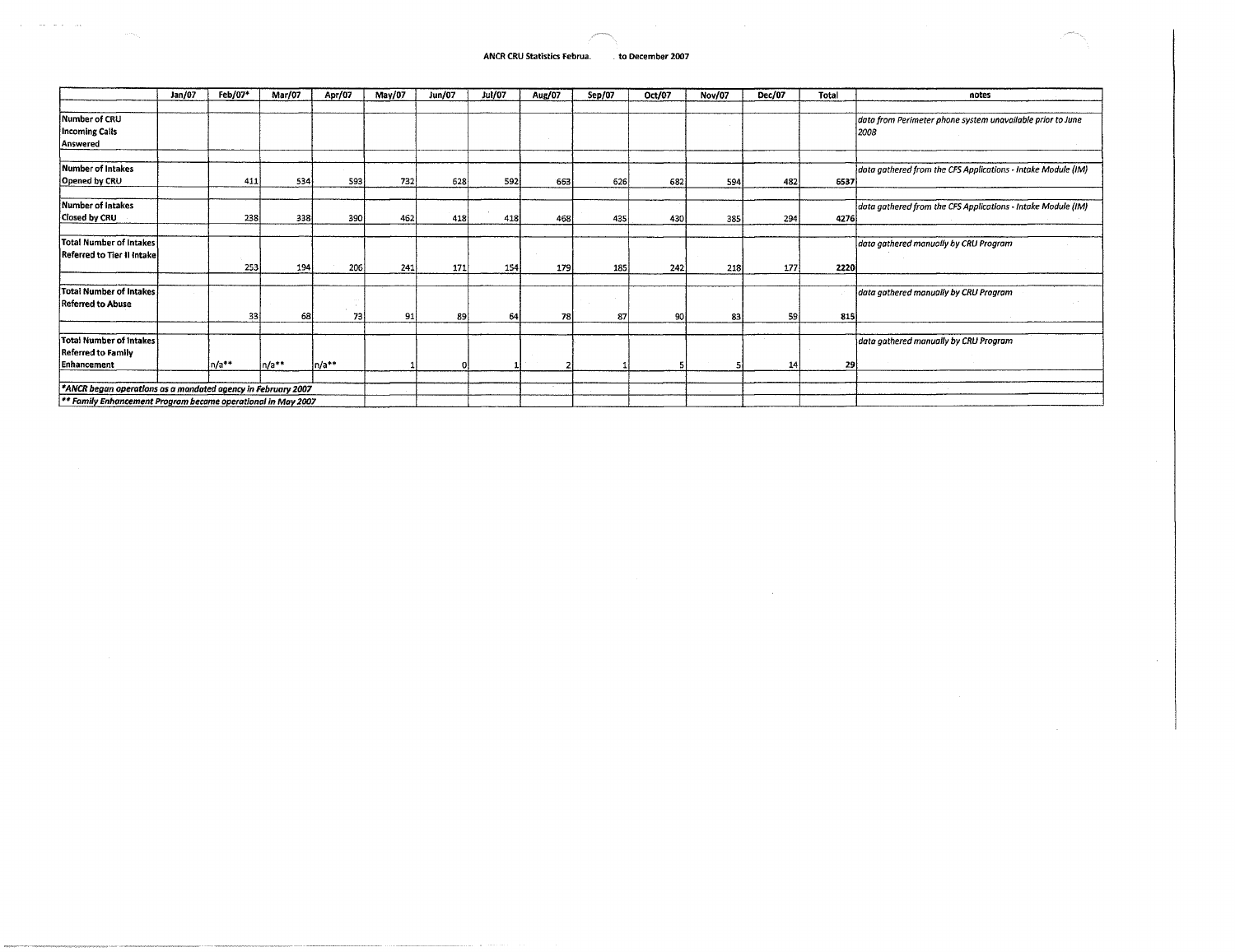### **ANCR CRU Statistics Februa. . to December 2007**

|                                                                         | Jan/07 | Feb/07*  | Mar/07 | Apr/07 | May/07 | <b>Jun/07</b> | <b>Jul/07</b> | Aug/07 | Sep/07 | Oct/07 | <b>Nov/07</b> | Dec/07 | Total | notes                                                        |
|-------------------------------------------------------------------------|--------|----------|--------|--------|--------|---------------|---------------|--------|--------|--------|---------------|--------|-------|--------------------------------------------------------------|
|                                                                         |        |          |        |        |        |               |               |        |        |        |               |        |       |                                                              |
| Number of CRU                                                           |        |          |        |        |        |               |               |        |        |        |               |        |       | data from Perimeter phone system unavailable prior to June   |
| <b>Incoming Calls</b>                                                   |        |          |        |        |        |               |               |        |        |        |               |        |       | 2008                                                         |
| Answered                                                                |        |          |        |        |        |               |               |        |        |        |               |        |       |                                                              |
|                                                                         |        |          |        |        |        |               |               |        |        |        |               |        |       |                                                              |
| Number of Intakes                                                       |        |          |        |        |        |               |               |        |        |        |               |        |       | data gathered from the CFS Applications - Intake Module (IM) |
| Opened by CRU                                                           |        | 411      | 534    | 593    | 732    | 628           | 592           | 663    | 626    | 682    | 594           | 482    | 6537  |                                                              |
|                                                                         |        |          |        |        |        |               |               |        |        |        |               |        |       |                                                              |
| Number of Intakes                                                       |        |          |        |        |        |               |               |        |        |        |               |        |       | data gathered from the CFS Applications - Intake Module (IM) |
| Closed by CRU                                                           |        | 238      | 338    | 390    | 462    | 418           | 418           | 468    | 435    | 430    | 385           | 294    | 4276  |                                                              |
|                                                                         |        |          |        |        |        |               |               |        |        |        |               |        |       |                                                              |
| <b>Total Number of Intakes</b>                                          |        |          |        |        |        |               |               |        |        |        |               |        |       | data gathered manually by CRU Program                        |
| Referred to Tier II Intake                                              |        |          |        |        |        |               |               |        |        |        |               |        |       |                                                              |
|                                                                         |        | 253      | 194    | 206    | 241    | 171           | 154           | 179    | 185    | 242    | 218           | 177    | 22201 |                                                              |
|                                                                         |        |          |        |        |        |               |               |        |        |        |               |        |       |                                                              |
| <b>Total Number of Intakes</b>                                          |        |          |        |        |        |               |               |        |        |        |               |        |       | data gathered manually by CRU Program                        |
| <b>Referred to Abuse</b>                                                |        |          |        |        |        |               |               |        |        |        |               |        |       |                                                              |
|                                                                         |        | 331      | 68l    | 73     | -91    | 89            | 64            | 78     | 87     | 90     | 83            | 59     | 815   |                                                              |
|                                                                         |        |          |        |        |        |               |               |        |        |        |               |        |       |                                                              |
| <b>Total Number of Intakes</b>                                          |        |          |        |        |        |               |               |        |        |        |               |        |       | data gathered manually by CRU Program                        |
| <b>Referred to Family</b>                                               |        |          |        |        |        |               |               |        |        |        |               |        |       |                                                              |
| Enhancement                                                             |        | $ln/a**$ | n/a**  | n/a**  |        |               |               |        |        |        |               | 14     | 29    |                                                              |
|                                                                         |        |          |        |        |        |               |               |        |        |        |               |        |       |                                                              |
| *ANCR began operations as a mandated agency in February 2007            |        |          |        |        |        |               |               |        |        |        |               |        |       |                                                              |
| <sup>**</sup> Family Enhancement Program became operational in May 2007 |        |          |        |        |        |               |               |        |        |        |               |        |       |                                                              |

**\*\* Family Enhancement Program became operational in May 2007** 

 $\mathcal{A}(\mathcal{A})$  and  $\mathcal{A}(\mathcal{A})$  and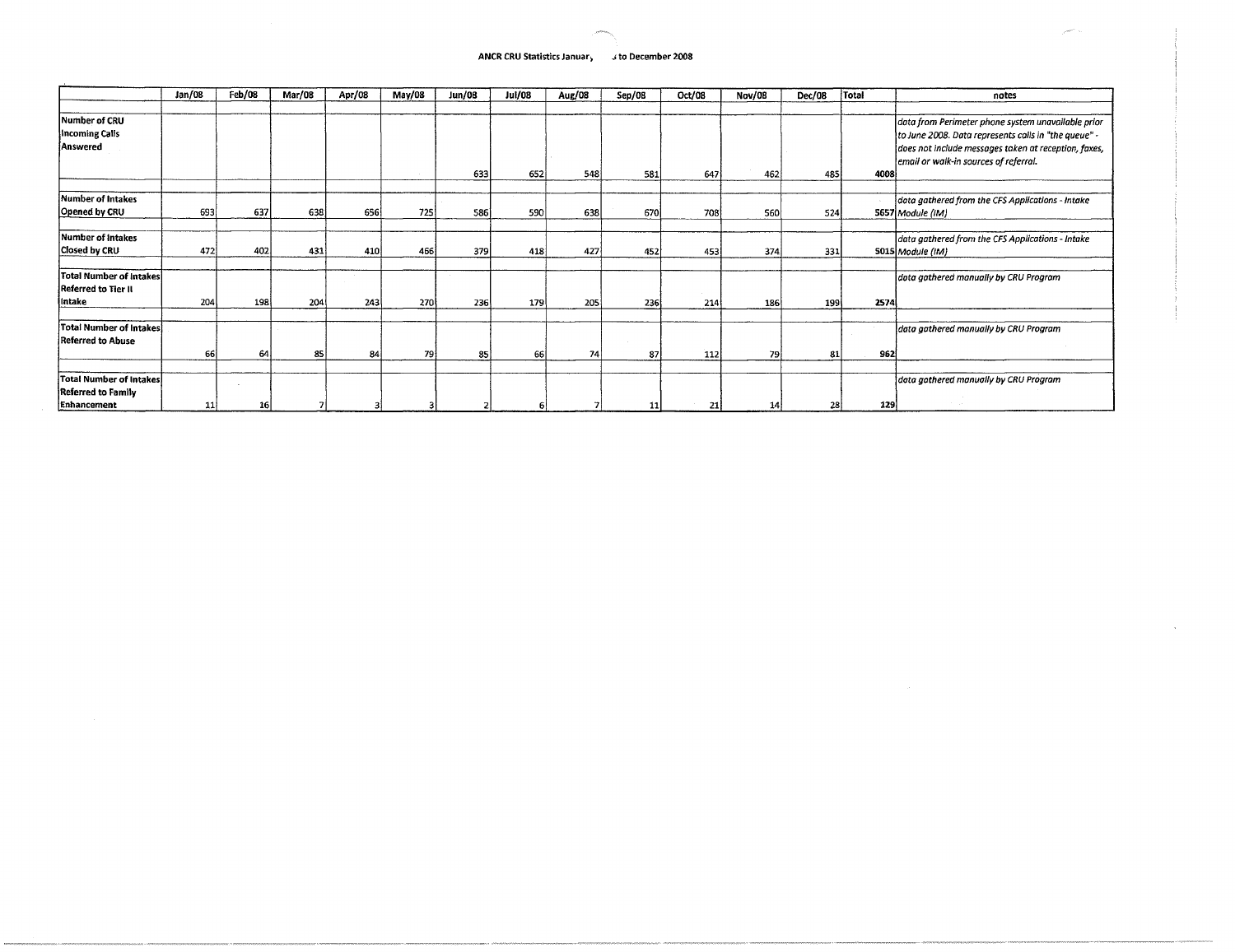# **ANCR CRU Statistics Januar, j to December 2008**

|                                | Jan/08 | Feb/08 | Mar/08 | Apr/08 | May/08     | <b>Jun/08</b> | <b>Jul/08</b> | Aug/08 | Sep/08 | Oct/08 | <b>Nov/08</b> | Dec/08 | <b>Total</b> | notes                                                |
|--------------------------------|--------|--------|--------|--------|------------|---------------|---------------|--------|--------|--------|---------------|--------|--------------|------------------------------------------------------|
|                                |        |        |        |        |            |               |               |        |        |        |               |        |              |                                                      |
| Number of CRU                  |        |        |        |        |            |               |               |        |        |        |               |        |              | data from Perimeter phone system unavailable prior   |
| Incoming Calis                 |        |        |        |        |            |               |               |        |        |        |               |        |              | to June 2008. Data represents calls in "the queue" - |
| Answered                       |        |        |        |        |            |               |               |        |        |        |               |        |              | does not include messages taken at reception, faxes, |
|                                |        |        |        |        |            |               |               |        |        |        |               |        |              | email or walk-in sources of referral.                |
|                                |        |        |        |        |            | 633           | 652           | 548    | 581    | 647    | 462           | 485    | 4008         |                                                      |
|                                |        |        |        |        |            |               |               |        |        |        |               |        |              |                                                      |
| <b>Number of Intakes</b>       |        |        |        |        |            |               |               |        |        |        |               |        |              | data gathered from the CFS Applications - Intake     |
| Opened by CRU                  | 693    | 637    | 638    | 656    | 725        | 586           | 590           | 638    | 670    | 708    | 560           | 524    |              | 5657 Module (IM)                                     |
|                                |        |        |        |        |            |               |               |        |        |        |               |        |              |                                                      |
| <b>Number of Intakes</b>       |        |        |        |        |            |               |               |        |        |        |               |        |              | data gathered from the CFS Applications - Intake     |
| <b>Closed by CRU</b>           | 472    | 402    | 431    | 410    | 466        | 379           | 418           | 427    | 452    | 453    | 374           | 331    |              | 5015 Module (IM)                                     |
|                                |        |        |        |        |            |               |               |        |        |        |               |        |              |                                                      |
| <b>Total Number of Intakes</b> |        |        |        |        |            |               |               |        |        |        |               |        |              | dota gathered manually by CRU Program                |
| Referred to Tier II            |        |        |        |        |            |               |               |        |        |        |               |        |              |                                                      |
| lintake                        | 204    | 198    | 204    | 243    | <b>270</b> | 236           | 179           | 205    | 236    | 214    | 186           | 199    | 2574         |                                                      |
|                                |        |        |        |        |            |               |               |        |        |        |               |        |              |                                                      |
| Total Number of Intakes        |        |        |        |        |            |               |               |        |        |        |               |        |              | data gathered manually by CRU Program                |
| <b>Referred to Abuse</b>       |        |        |        |        |            |               |               |        |        |        |               |        |              |                                                      |
|                                | 66     | 64     | 85     | 84     | 79 I       | 85            | 66            | 74 I   | 87     | 112    | 79            | 81     | 962          |                                                      |
|                                |        |        |        |        |            |               |               |        |        |        |               |        |              |                                                      |
| <b>Total Number of Intakes</b> |        |        |        |        |            |               |               |        |        |        |               |        |              | data gathered manually by CRU Program                |
| Referred to Family             |        |        |        |        |            |               |               |        |        |        |               |        |              |                                                      |
| Enhancement                    | 11     | 16     |        |        |            |               |               |        | 11     | 21     | 14            | 28     | 129          |                                                      |

 $\sim$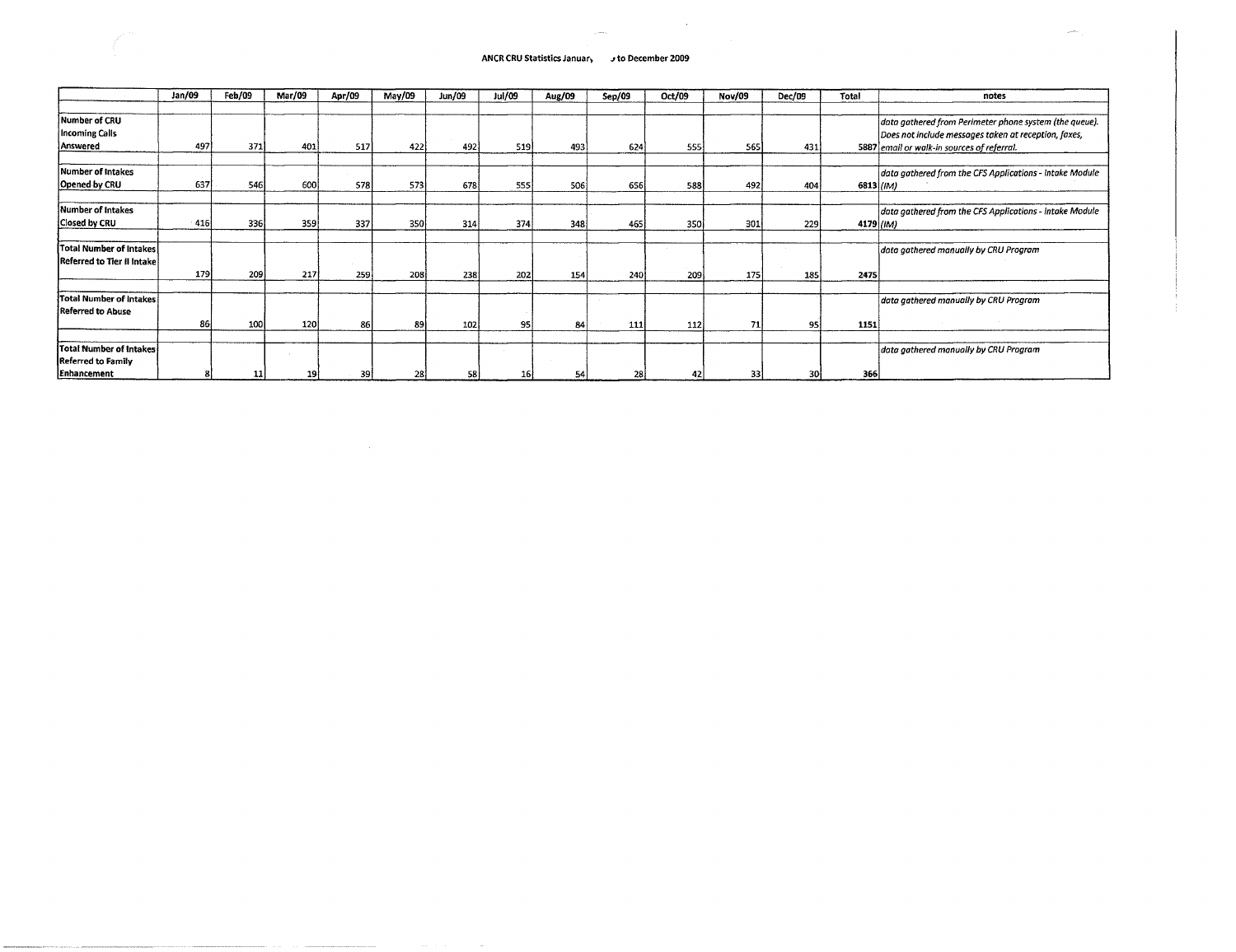# **ANCR CRU Statistics January j to December 2009**

 $\mathcal{L}_{\mu\nu}$  and the  $\mathcal{L}_{\mu}$ 

 $\sim$   $\sim$ 

|                                | Jan/09 | Feb/09          | Mar/09 | Apr/09 | May/09 | <b>Jun/09</b> | Jul/09 | Aug/09 | Sep/09 | Oct/09 | Nov/09 | Dec/09 | Total      | notes                                                   |
|--------------------------------|--------|-----------------|--------|--------|--------|---------------|--------|--------|--------|--------|--------|--------|------------|---------------------------------------------------------|
|                                |        |                 |        |        |        |               |        |        |        |        |        |        |            |                                                         |
| Number of CRU                  |        |                 |        |        |        |               |        |        |        |        |        |        |            | data gathered from Perimeter phone system (the queue).  |
| Incoming Calls                 |        |                 |        |        |        |               |        |        |        |        |        |        |            | Does not include messages taken at reception, faxes,    |
| Answered                       | 497    | 371             | 401    | 517    | 422    | 492           | 519    | 493    | 624    | 555    | 565    | 431    |            | 5887 email or walk-in sources of referral.              |
|                                |        |                 |        |        |        |               |        |        |        |        |        |        |            |                                                         |
| Number of Intakes              |        |                 |        |        |        |               |        |        |        |        |        |        |            | data gathered from the CFS Applications - Intake Module |
| Opened by CRU                  | 637    | 546             | 600    | 578    | 573    | 678           | 555    | 506    | 656    | 588    | 492    | 404    | 6813 ((IM) |                                                         |
| Number of Intakes              |        |                 |        |        |        |               |        |        |        |        |        |        |            | data gathered from the CFS Applications - Intake Module |
| <b>Closed by CRU</b>           | 416    | 336l            | 359    | 337    | 350    | 314           | 374    | 348    | 465    | 350    | 301    | 229    | 4179 (IM)  |                                                         |
|                                |        |                 |        |        |        |               |        |        |        |        |        |        |            |                                                         |
| <b>Total Number of Intakes</b> |        |                 |        |        |        |               |        |        |        |        |        |        |            | data gathered manually by CRU Program                   |
| Referred to Tier II Intake     |        |                 |        |        |        |               |        |        |        |        |        |        |            |                                                         |
|                                | 179    | 209             | 217    | 259    | 208    | 238           | 202    | 154    | 240    | 209    | 175    | 185    | 2475       |                                                         |
| <b>Total Number of Intakes</b> |        |                 |        |        |        |               |        |        |        |        |        |        |            | data gathered manually by CRU Program                   |
| <b>Referred to Abuse</b>       |        |                 |        |        |        |               |        |        |        |        |        |        |            |                                                         |
|                                | 86     | <b>100</b>      | 120    | 86     | 89     | 102           | 95     | 84     | 111    | 112    | 71     | 951    | 1151       |                                                         |
|                                |        |                 |        |        |        |               |        |        |        |        |        |        |            |                                                         |
| Total Number of Intakes        |        |                 |        |        |        |               |        |        |        |        |        |        |            | data gathered manually by CRU Program                   |
| <b>Referred to Family</b>      |        |                 |        |        |        |               |        |        |        |        |        |        |            |                                                         |
| Enhancement                    |        | 11 <sub>1</sub> | 19     | 39     | 28     | 58            |        | 54     | 28     |        | 33     | 30     | 366        |                                                         |

 $\sim 10^{-1}$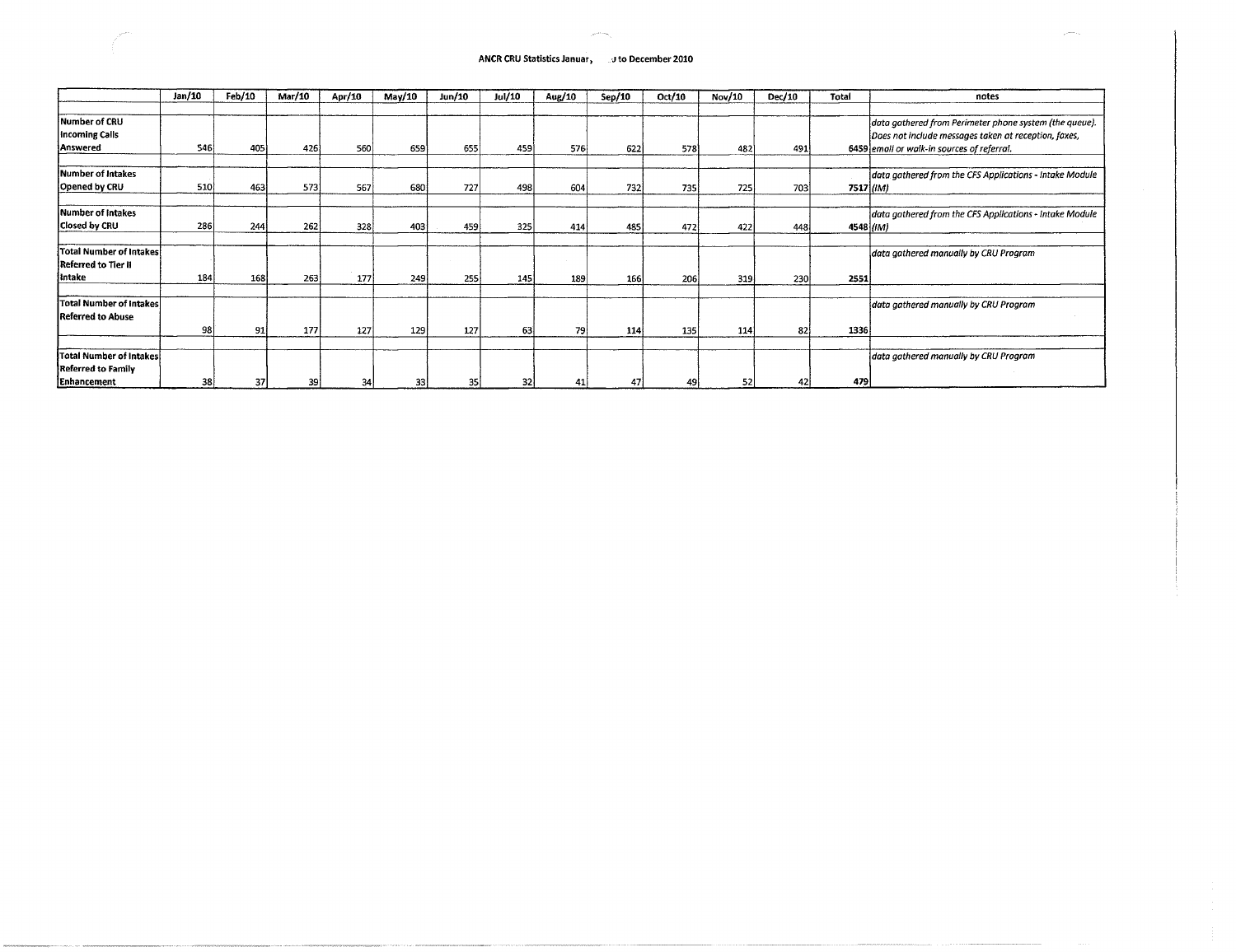#### **ANCR CRU Statistics Januar, development 2010**

 $\mathbb{Z}^2$ 

|                                | Jan/10 | Feb/10 | Mar/10 | Apr/10 | May/10 | Jun/10 | Jul/10 | Aug/10 | Sep/10 | Oct/10 | Nov/10 | Dec/10 | Total | notes                                                   |
|--------------------------------|--------|--------|--------|--------|--------|--------|--------|--------|--------|--------|--------|--------|-------|---------------------------------------------------------|
|                                |        |        |        |        |        |        |        |        |        |        |        |        |       |                                                         |
| <b>Number of CRU</b>           |        |        |        |        |        |        |        |        |        |        |        |        |       | data gathered from Perimeter phone system (the queue).  |
| <b>Incoming Calls</b>          |        |        |        |        |        |        |        |        |        |        |        |        |       | Does not include messages taken at reception, faxes,    |
| Answered                       | 546    | 405    | 426    | 560    | 659    | 655    | 459    | 576    | 622    | 578    | 482    | 491    |       | 6459 email or walk-in sources of referral.              |
|                                |        |        |        |        |        |        |        |        |        |        |        |        |       |                                                         |
| Number of Intakes              |        |        |        |        |        |        |        |        |        |        |        |        |       | data gathered from the CFS Applications - Intake Module |
| Opened by CRU                  | 510    | 463    | 573    | 567    | 680    | 727    | 498    | 604    | 732    | 735    | 725    | 703    |       | 7517 (IM)                                               |
|                                |        |        |        |        |        |        |        |        |        |        |        |        |       |                                                         |
| Number of Intakes              |        |        |        |        |        |        |        |        |        |        |        |        |       | data gathered from the CFS Applications - Intake Module |
| Closed by CRU                  | 286    | 244    | 262    | 328    | 403    | 459    | 325    | 414    | 485    | 472    | 422    | 448    |       | 4548 <i>(IM)</i>                                        |
|                                |        |        |        |        |        |        |        |        |        |        |        |        |       |                                                         |
| Total Number of Intakes        |        |        |        |        |        |        |        |        |        |        |        |        |       | data gathered manually by CRU Program                   |
| Referred to Tier II            |        |        |        |        |        |        |        |        |        |        |        |        |       |                                                         |
| intake                         | 184    | 168    | 263    | 177    | 249    | 255    | 145    | 189    | 166    | 206    | 319    | 230    | 2551  |                                                         |
|                                |        |        |        |        |        |        |        |        |        |        |        |        |       |                                                         |
| <b>Total Number of Intakes</b> |        |        |        |        |        |        |        |        |        |        |        |        |       | data gathered manually by CRU Program                   |
| <b>Referred to Abuse</b>       |        |        |        |        |        |        |        |        |        |        |        |        |       |                                                         |
|                                | 98     | 91     | 177    | 127    | 129    | 127    | 63     | 79 i   | 114    | 135    | 114    | 82     | 1336  |                                                         |
|                                |        |        |        |        |        |        |        |        |        |        |        |        |       |                                                         |
| Total Number of Intakes        |        |        |        |        |        |        |        |        |        |        |        |        |       | data gathered manually by CRU Program                   |
| <b>Referred to Family</b>      |        |        |        |        |        |        |        |        |        |        |        |        |       |                                                         |
| Enhancement                    | 38     | 37     | 39     | 34     | 33     | 35     | 32     |        | 4.     |        | 52     | 42     | 479   |                                                         |